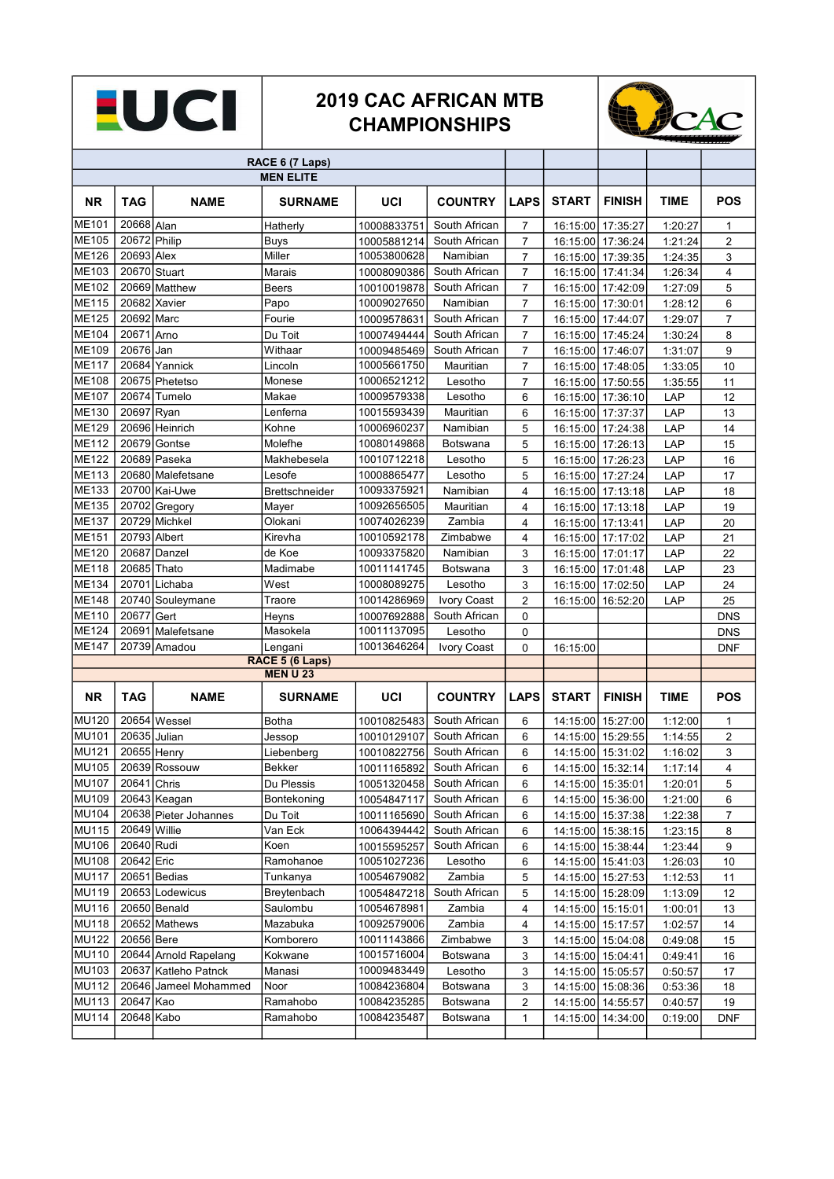

## 2019 CAC AFRICAN MTB CHAMPIONSHIPS



| RACE 6 (7 Laps)  |                          |                       |                       |             |                           |                |                   |                   |             |                |
|------------------|--------------------------|-----------------------|-----------------------|-------------|---------------------------|----------------|-------------------|-------------------|-------------|----------------|
| <b>MEN ELITE</b> |                          |                       |                       |             |                           |                |                   |                   |             |                |
| <b>NR</b>        | <b>TAG</b>               | <b>NAME</b>           | <b>SURNAME</b>        | UCI         | <b>COUNTRY</b>            | <b>LAPS</b>    | <b>START</b>      | <b>FINISH</b>     | <b>TIME</b> | <b>POS</b>     |
| <b>ME101</b>     | 20668 Alan               |                       | Hatherly              | 10008833751 | South African             | $\overline{7}$ | 16:15:00          | 17:35:27          | 1:20:27     | 1              |
| <b>ME105</b>     | 20672 Philip             |                       | <b>Buys</b>           | 10005881214 | South African             | 7              |                   | 16:15:00 17:36:24 | 1:21:24     | 2              |
| <b>ME126</b>     | 20693 Alex               |                       | Miller                | 10053800628 | Namibian                  | $\overline{7}$ |                   | 16:15:00 17:39:35 | 1:24:35     | 3              |
| ME103            |                          | 20670 Stuart          | Marais                | 10008090386 | South African             | $\overline{7}$ |                   | 16:15:00 17:41:34 | 1:26:34     | 4              |
| <b>ME102</b>     |                          | 20669 Matthew         | Beers                 | 10010019878 | South African             | $\overline{7}$ |                   | 16:15:00 17:42:09 | 1:27:09     | 5              |
| <b>ME115</b>     |                          | 20682 Xavier          | Papo                  | 10009027650 | Namibian                  | $\overline{7}$ |                   | 16:15:00 17:30:01 | 1:28:12     | 6              |
| <b>ME125</b>     | 20692 Marc               |                       | Fourie                | 10009578631 | South African             | $\overline{7}$ |                   | 16:15:00 17:44:07 | 1:29:07     | $\overline{7}$ |
| ME104            | 20671 Arno               |                       | Du Toit               | 10007494444 | South African             | $\overline{7}$ |                   | 16:15:00 17:45:24 | 1:30:24     | 8              |
| <b>ME109</b>     | 20676 Jan                |                       | Withaar               | 10009485469 | South African             | 7              |                   | 16:15:00 17:46:07 | 1:31:07     | 9              |
| <b>ME117</b>     |                          | 20684 Yannick         | Lincoln               | 10005661750 | Mauritian                 | $\overline{7}$ |                   | 16:15:00 17:48:05 | 1:33:05     | 10             |
| <b>ME108</b>     |                          | 20675 Phetetso        | Monese                | 10006521212 | Lesotho                   | $\overline{7}$ |                   | 16:15:00 17:50:55 | 1:35:55     | 11             |
| <b>ME107</b>     |                          | 20674 Tumelo          | Makae                 | 10009579338 | Lesotho                   | 6              |                   | 16:15:00 17:36:10 | LAP         | 12             |
| ME130            | 20697 Ryan               |                       | Lenferna              | 10015593439 | Mauritian                 | 6              |                   | 16:15:00 17:37:37 | LAP         | 13             |
| ME129            |                          | 20696 Heinrich        | Kohne                 | 10006960237 | Namibian                  | 5              |                   | 16:15:00 17:24:38 | LAP         | 14             |
| ME112            |                          | 20679 Gontse          | Molefhe               | 10080149868 | Botswana                  | 5              |                   | 16:15:00 17:26:13 | LAP         | 15             |
| <b>ME122</b>     |                          | 20689 Paseka          | Makhebesela           | 10010712218 | Lesotho                   | 5              |                   | 16:15:00 17:26:23 | LAP         | 16             |
| <b>ME113</b>     |                          | 20680 Malefetsane     | Lesofe                | 10008865477 | Lesotho                   | 5              |                   | 16:15:00 17:27:24 | LAP         | 17             |
| <b>ME133</b>     |                          | 20700 Kai-Uwe         | <b>Brettschneider</b> | 10093375921 | Namibian                  | 4              |                   | 16:15:00 17:13:18 | LAP         | 18             |
| ME135            |                          | 20702 Gregory         | Mayer                 | 10092656505 | Mauritian                 | $\overline{4}$ |                   | 16:15:00 17:13:18 | LAP         | 19             |
| <b>ME137</b>     |                          | 20729 Michkel         | Olokani               | 10074026239 | Zambia                    | $\overline{4}$ |                   | 16:15:00 17:13:41 | LAP         | 20             |
| ME151            |                          | 20793 Albert          | Kirevha               | 10010592178 | Zimbabwe                  | $\overline{4}$ |                   | 16:15:00 17:17:02 | LAP         | 21             |
| ME120            |                          | 20687 Danzel          | de Koe                | 10093375820 | Namibian                  | 3              |                   | 16:15:00 17:01:17 | LAP         | 22             |
| ME118            | 20685 Thato              |                       | Madimabe              | 10011141745 | Botswana                  | 3              |                   | 16:15:00 17:01:48 | LAP         | 23             |
| <b>ME134</b>     |                          | 20701 Lichaba         | West                  | 10008089275 | Lesotho                   | 3              |                   | 16:15:00 17:02:50 | LAP         | 24             |
| <b>ME148</b>     |                          | 20740 Souleymane      | Traore                | 10014286969 | <b>Ivory Coast</b>        | $\overline{2}$ |                   | 16:15:00 16:52:20 | LAP         | 25             |
| <b>ME110</b>     | 20677                    | lGert                 | Heyns                 | 10007692888 | South African             | $\mathbf 0$    |                   |                   |             | <b>DNS</b>     |
| <b>ME124</b>     |                          | 20691 Malefetsane     | Masokela              | 10011137095 | Lesotho                   | 0              |                   |                   |             | <b>DNS</b>     |
| <b>ME147</b>     |                          | 20739 Amadou          | Lengani               | 10013646264 | <b>Ivory Coast</b>        | $\mathbf 0$    | 16:15:00          |                   |             | <b>DNF</b>     |
|                  |                          |                       | RACE 5 (6 Laps)       |             |                           |                |                   |                   |             |                |
|                  |                          |                       | <b>MEN U 23</b>       |             |                           |                |                   |                   |             |                |
| <b>NR</b>        | <b>TAG</b>               | <b>NAME</b>           | <b>SURNAME</b>        | UCI         | <b>COUNTRY</b>            | <b>LAPS</b>    | <b>START</b>      | <b>FINISH</b>     | <b>TIME</b> | <b>POS</b>     |
| <b>MU120</b>     |                          | 20654 Wessel          | Botha                 | 10010825483 | South African             | 6              |                   | 14:15:00 15:27:00 | 1:12:00     | 1              |
| <b>MU101</b>     | 20635 Julian             |                       | Jessop                | 10010129107 | South African             | 6              |                   | 14:15:00 15:29:55 | 1:14:55     | 2              |
| <b>MU121</b>     | 20655 Henry              |                       | Liebenberg            | 10010822756 | South African             | 6              |                   | 14:15:00 15:31:02 | 1:16:02     | 3              |
| MU105            |                          | 20639 Rossouw         | Bekker                | 10011165892 | South African             | 6              |                   | 14:15:00 15:32:14 | 1:17:14     | 4              |
| MU107            | $\overline{20641}$ Chris |                       | Du Plessis            |             | 10051320458 South African | $\overline{6}$ | 14:15:00 15:35:01 |                   | 1:20:01     | 5              |
| MU109            |                          | 20643 Keagan          | Bontekoning           | 10054847117 | South African             | 6              |                   | 14:15:00 15:36:00 | 1:21:00     | 6              |
| MU104            |                          | 20638 Pieter Johannes | Du Toit               | 10011165690 | South African             | 6              |                   | 14:15:00 15:37:38 | 1:22:38     | 7              |
| MU115            | $20649$ Willie           |                       | Van Eck               | 10064394442 | South African             | 6              |                   | 14:15:00 15:38:15 | 1:23:15     | 8              |
| MU106            | 20640 Rudi               |                       | Koen                  | 10015595257 | South African             | 6              |                   | 14:15:00 15:38:44 | 1:23:44     | 9              |
| <b>MU108</b>     | 20642 Eric               |                       | Ramohanoe             | 10051027236 | Lesotho                   | 6              |                   | 14:15:00 15:41:03 | 1:26:03     | 10             |
| <b>MU117</b>     |                          | 20651 Bedias          | Tunkanya              | 10054679082 | Zambia                    | 5              |                   | 14:15:00 15:27:53 | 1:12:53     | 11             |
| <b>MU119</b>     |                          | 20653 Lodewicus       | Breytenbach           | 10054847218 | South African             | 5              |                   | 14:15:00 15:28:09 | 1:13:09     | 12             |
| MU116            |                          | 20650 Benald          | Saulombu              | 10054678981 | Zambia                    | 4              |                   | 14:15:00 15:15:01 | 1:00:01     | 13             |
| <b>MU118</b>     |                          | 20652 Mathews         | Mazabuka              | 10092579006 | Zambia                    | 4              |                   | 14:15:00 15:17:57 | 1:02:57     | 14             |
| <b>MU122</b>     | 20656 Bere               |                       | Komborero             | 10011143866 | Zimbabwe                  | 3              |                   | 14:15:00 15:04:08 | 0:49:08     | 15             |
| <b>MU110</b>     |                          | 20644 Arnold Rapelang | Kokwane               | 10015716004 | Botswana                  | 3              |                   | 14:15:00 15:04:41 | 0:49:41     | 16             |
| MU103            |                          | 20637 Katleho Patnck  | Manasi                | 10009483449 | Lesotho                   | 3              |                   | 14:15:00 15:05:57 | 0:50:57     | 17             |
| <b>MU112</b>     |                          | 20646 Jameel Mohammed | Noor                  | 10084236804 | Botswana                  | 3              |                   | 14:15:00 15:08:36 | 0:53:36     | 18             |
| <b>MU113</b>     | 20647 Kao                |                       | Ramahobo              | 10084235285 | Botswana                  | $\overline{2}$ |                   | 14:15:00 14:55:57 | 0:40:57     | 19             |
| MU114            | 20648 Kabo               |                       | Ramahobo              | 10084235487 | Botswana                  | 1              |                   | 14:15:00 14:34:00 | 0:19:00     | DNF            |
|                  |                          |                       |                       |             |                           |                |                   |                   |             |                |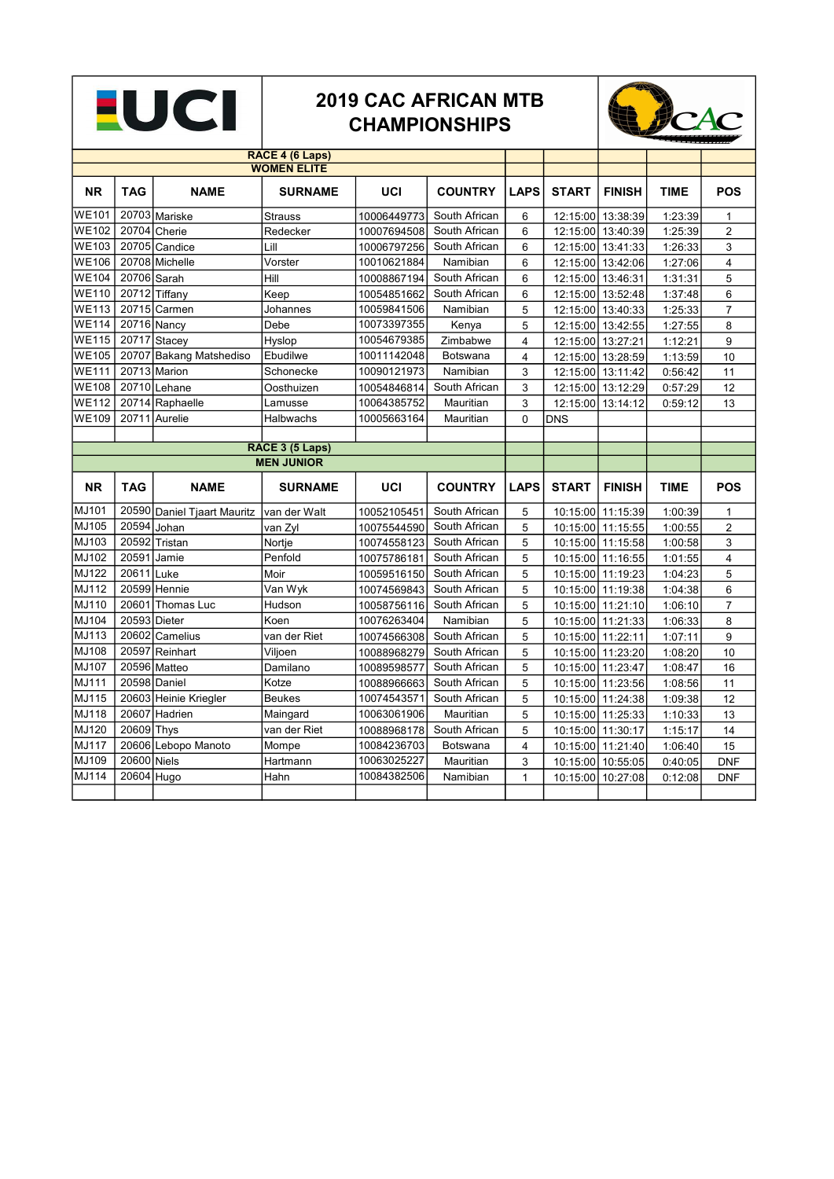

## 2019 CAC AFRICAN MTB CHAMPIONSHIPS



| RACE 4 (6 Laps)    |              |                                          |                 |             |                 |                         |                   |                   |             |                         |
|--------------------|--------------|------------------------------------------|-----------------|-------------|-----------------|-------------------------|-------------------|-------------------|-------------|-------------------------|
| <b>WOMEN ELITE</b> |              |                                          |                 |             |                 |                         |                   |                   |             |                         |
| <b>NR</b>          | <b>TAG</b>   | <b>NAME</b>                              | <b>SURNAME</b>  | UCI         | <b>COUNTRY</b>  | <b>LAPS</b>             | <b>START</b>      | <b>FINISH</b>     | <b>TIME</b> | <b>POS</b>              |
| <b>WE101</b>       |              | 20703 Mariske                            | <b>Strauss</b>  | 10006449773 | South African   | 6                       |                   | 12:15:00 13:38:39 | 1:23:39     | $\mathbf{1}$            |
| <b>WE102</b>       |              | 20704 Cherie                             | Redecker        | 10007694508 | South African   | 6                       |                   | 12:15:00 13:40:39 | 1:25:39     | $\overline{c}$          |
| <b>WE103</b>       |              | 20705 Candice                            | Lill            | 10006797256 | South African   | 6                       |                   | 12:15:00 13:41:33 | 1:26:33     | 3                       |
| <b>WE106</b>       |              | 20708 Michelle                           | Vorster         | 10010621884 | Namibian        | 6                       |                   | 12:15:00 13:42:06 | 1:27:06     | 4                       |
| <b>WE104</b>       | 20706 Sarah  |                                          | Hill            | 10008867194 | South African   | 6                       | 12:15:00 13:46:31 |                   | 1:31:31     | 5                       |
| <b>WE110</b>       |              | 20712 Tiffany                            | Keep            | 10054851662 | South African   | 6                       |                   | 12:15:00 13:52:48 | 1:37:48     | 6                       |
| <b>WE113</b>       |              | 20715 Carmen                             | Johannes        | 10059841506 | Namibian        | 5                       |                   | 12:15:00 13:40:33 | 1:25:33     | $\overline{7}$          |
| <b>WE114</b>       |              | 20716 Nancy                              | Debe            | 10073397355 | Kenya           | 5                       |                   | 12:15:00 13:42:55 | 1:27:55     | 8                       |
| <b>WE115</b>       |              | 20717 Stacey                             | Hyslop          | 10054679385 | Zimbabwe        | 4                       |                   | 12:15:00 13:27:21 | 1:12:21     | 9                       |
| <b>WE105</b>       |              | 20707 Bakang Matshediso                  | Ebudilwe        | 10011142048 | Botswana        | $\overline{\mathbf{4}}$ |                   | 12:15:00 13:28:59 | 1:13:59     | 10                      |
| <b>WE111</b>       |              | 20713 Marion                             | Schonecke       | 10090121973 | Namibian        | 3                       |                   | 12:15:00 13:11:42 | 0:56:42     | 11                      |
| <b>WE108</b>       |              | 20710 Lehane                             | Oosthuizen      | 10054846814 | South African   | 3                       | 12:15:00 13:12:29 |                   | 0:57:29     | 12                      |
| <b>WE112</b>       |              | 20714 Raphaelle                          | Lamusse         | 10064385752 | Mauritian       | 3                       |                   | 12:15:00 13:14:12 | 0:59:12     | 13                      |
| <b>WE109</b>       |              | 20711 Aurelie                            | Halbwachs       | 10005663164 | Mauritian       | $\mathbf{0}$            | <b>DNS</b>        |                   |             |                         |
|                    |              |                                          |                 |             |                 |                         |                   |                   |             |                         |
|                    |              |                                          | RACE 3 (5 Laps) |             |                 |                         |                   |                   |             |                         |
| <b>MEN JUNIOR</b>  |              |                                          |                 |             |                 |                         |                   |                   |             |                         |
|                    |              |                                          |                 |             |                 |                         |                   |                   |             |                         |
| <b>NR</b>          | <b>TAG</b>   | <b>NAME</b>                              | <b>SURNAME</b>  | UCI         | <b>COUNTRY</b>  | <b>LAPS</b>             | <b>START</b>      | <b>FINISH</b>     | <b>TIME</b> | <b>POS</b>              |
| MJ101              |              | 20590 Daniel Tjaart Mauritz van der Walt |                 | 10052105451 | South African   | 5                       |                   | 10:15:00 11:15:39 | 1:00:39     | $\mathbf{1}$            |
| MJ105              | 20594        | Johan                                    | van Zyl         | 10075544590 | South African   | 5                       |                   | 10:15:00 11:15:55 | 1:00:55     | $\overline{2}$          |
| MJ103              |              | 20592 Tristan                            | Nortje          | 10074558123 | South African   | 5                       |                   | 10:15:00 11:15:58 | 1:00:58     | 3                       |
| MJ102              | 20591        | Jamie                                    | Penfold         | 10075786181 | South African   | 5                       |                   | 10:15:00 11:16:55 | 1:01:55     | $\overline{\mathbf{4}}$ |
| MJ122              | 20611        | Luke                                     | Moir            | 10059516150 | South African   | 5                       |                   | 10:15:00 11:19:23 | 1:04:23     | 5                       |
| MJ112              |              | 20599 Hennie                             | Van Wyk         | 10074569843 | South African   | 5                       |                   | 10:15:00 11:19:38 | 1:04:38     | 6                       |
| MJ110              | 20601        | <b>Thomas Luc</b>                        | Hudson          | 10058756116 | South African   | 5                       |                   | 10:15:00 11:21:10 | 1:06:10     | $\overline{7}$          |
| MJ104              | 20593 Dieter |                                          | Koen            | 10076263404 | Namibian        | 5                       |                   | 10:15:00 11:21:33 | 1:06:33     | 8                       |
| MJ113              |              | 20602 Camelius                           | van der Riet    | 10074566308 | South African   | 5                       |                   | 10:15:00 11:22:11 | 1:07:11     | $\boldsymbol{9}$        |
| MJ108              |              | 20597 Reinhart                           | Viljoen         | 10088968279 | South African   | 5                       |                   | 10:15:00 11:23:20 | 1:08:20     | 10                      |
| MJ107              |              | 20596 Matteo                             | Damilano        | 10089598577 | South African   | 5                       |                   | 10:15:00 11:23:47 | 1:08:47     | 16                      |
| MJ111              |              | 20598 Daniel                             | Kotze           | 10088966663 | South African   | 5                       |                   | 10:15:00 11:23:56 | 1:08:56     | 11                      |
| MJ115              |              | 20603 Heinie Kriegler                    | <b>Beukes</b>   | 10074543571 | South African   | 5                       |                   | 10:15:00 11:24:38 | 1:09:38     | 12                      |
| MJ118              |              | 20607 Hadrien                            | Maingard        | 10063061906 | Mauritian       | 5                       |                   | 10:15:00 11:25:33 | 1:10:33     | 13                      |
| MJ120              | 20609 Thys   |                                          | van der Riet    | 10088968178 | South African   | 5                       |                   | 10:15:00 11:30:17 | 1:15:17     | 14                      |
| <b>MJ117</b>       |              | 20606 Lebopo Manoto                      | Mompe           | 10084236703 | <b>Botswana</b> | 4                       |                   | 10:15:00 11:21:40 | 1:06:40     | 15                      |
| MJ109              | 20600 Niels  |                                          | Hartmann        | 10063025227 | Mauritian       | 3                       |                   | 10:15:00 10:55:05 | 0:40:05     | <b>DNF</b>              |
| MJ114              | 20604 Hugo   |                                          | Hahn            | 10084382506 | Namibian        | 1                       |                   | 10:15:00 10:27:08 | 0:12:08     | <b>DNF</b>              |